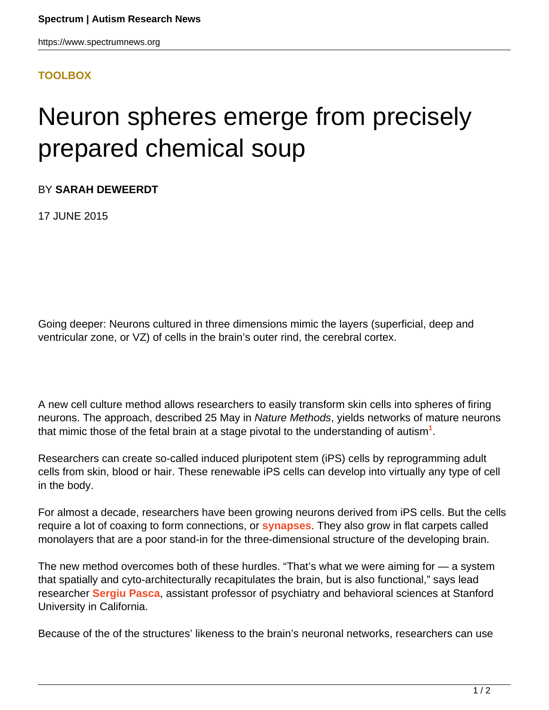## **[TOOLBOX](HTTPS://WWW.SPECTRUMNEWS.ORG/NEWS/TOOLBOX/)**

## Neuron spheres emerge from precisely prepared chemical soup

BY **SARAH DEWEERDT**

17 JUNE 2015

Going deeper: Neurons cultured in three dimensions mimic the layers (superficial, deep and ventricular zone, or VZ) of cells in the brain's outer rind, the cerebral cortex.

A new cell culture method allows researchers to easily transform skin cells into spheres of firing neurons. The approach, described 25 May in Nature Methods, yields networks of mature neurons that mimic those of the fetal brain at a stage pivotal to the understanding of autism**<sup>1</sup>** .

Researchers can create so-called induced pluripotent stem (iPS) cells by reprogramming adult cells from skin, blood or hair. These renewable iPS cells can develop into virtually any type of cell in the body.

For almost a decade, researchers have been growing neurons derived from iPS cells. But the cells require a lot of coaxing to form connections, or **[synapses](https://www.spectrumnews.org/wiki/synapse)**. They also grow in flat carpets called monolayers that are a poor stand-in for the three-dimensional structure of the developing brain.

The new method overcomes both of these hurdles. "That's what we were aiming for — a system that spatially and cyto-architecturally recapitulates the brain, but is also functional," says lead researcher **[Sergiu Pasca](https://www.spectrumnews.org/investigator-profiles/2015/rising-star-sergiu-pasca-scientist-at-play)**, assistant professor of psychiatry and behavioral sciences at Stanford University in California.

Because of the of the structures' likeness to the brain's neuronal networks, researchers can use